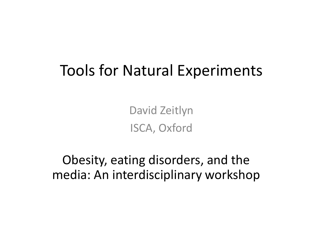### Tools for Natural Experiments

David Zeitlyn ISCA, Oxford

Obesity, eating disorders, and the media: An interdisciplinary workshop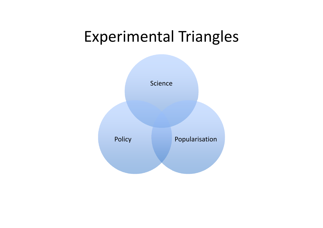### Experimental Triangles

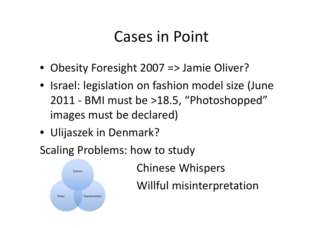### Cases in Point

- Obesity Foresight 2007 => Jamie Oliver?
- Israel: legislation on fashion model size (June 2011 - BMI must be >18.5, "Photoshopped" images must be declared)
- Ulijaszek in Denmark?
- Scaling Problems: how to study



Chinese Whispers

Willful misinterpretation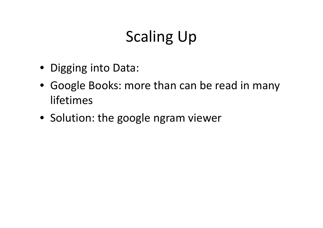# Scaling Up

- Digging into Data:
- Google Books: more than can be read in many lifetimes
- Solution: the google ngram viewer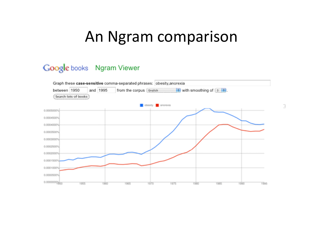### An Ngram comparison

#### Google books Ngram Viewer

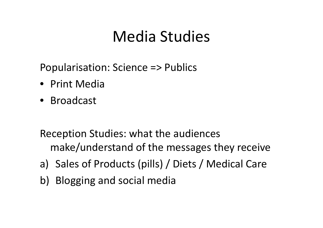## Media Studies

Popularisation: Science => Publics

- Print Media
- Broadcast

Reception Studies: what the audiences make/understand of the messages they receive

- a) Sales of Products (pills) / Diets / Medical Care
- b) Blogging and social media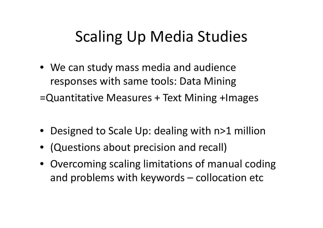## Scaling Up Media Studies

- We can study mass media and audience responses with same tools: Data Mining =Quantitative Measures + Text Mining +Images
- Designed to Scale Up: dealing with n>1 million
- (Questions about precision and recall)
- Overcoming scaling limitations of manual coding and problems with keywords – collocation etc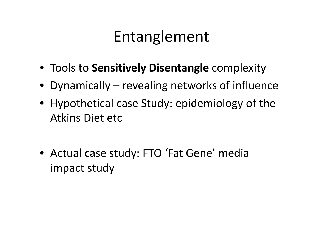## Entanglement

- Tools to **Sensitively Disentangle** complexity
- Dynamically revealing networks of influence
- Hypothetical case Study: epidemiology of the Atkins Diet etc
- Actual case study: FTO 'Fat Gene' media impact study